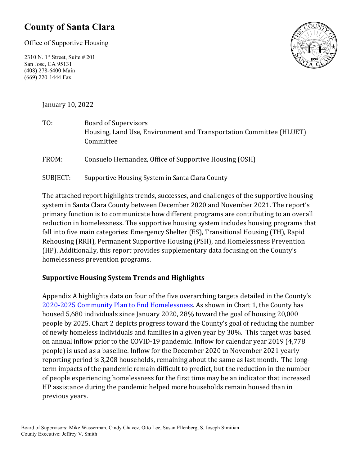## **County of Santa Clara**

Office of Supportive Housing

2310 N. 1st Street, Suite # 201 San Jose, CA 95131 (408) 278-6400 Main (669) 220-1444 Fax



January 10, 2022

| TO:      | <b>Board of Supervisors</b><br>Housing, Land Use, Environment and Transportation Committee (HLUET)<br>Committee |
|----------|-----------------------------------------------------------------------------------------------------------------|
| FROM:    | Consuelo Hernandez, Office of Supportive Housing (OSH)                                                          |
| SUBJECT: | Supportive Housing System in Santa Clara County                                                                 |

The attached report highlights trends, successes, and challenges of the supportive housing system in Santa Clara County between December 2020 and November 2021. The report's primary function is to communicate how different programs are contributing to an overall reduction in homelessness. The supportive housing system includes housing programs that fall into five main categories: Emergency Shelter (ES), Transitional Housing (TH), Rapid Rehousing (RRH), Permanent Supportive Housing (PSH), and Homelessness Prevention (HP). Additionally, this report provides supplementary data focusing on the County's homelessness prevention programs.

### **Supportive Housing System Trends and Highlights**

Appendix A highlights data on four of the five overarching targets detailed in the County's [2020-2025 Community Plan to End Homelessness.](https://www.sccgov.org/sites/yes/takeaction/Pages/2020-Santa-Clara-County-Community-Plan-to-End-Homelessness-.aspx) As shown in Chart 1, the County has housed 5,680 individuals since January 2020, 28% toward the goal of housing 20,000 people by 2025. Chart 2 depicts progress toward the County's goal of reducing the number of newly homeless individuals and families in a given year by 30%. This target was based on annual inflow prior to the COVID-19 pandemic. Inflow for calendar year 2019 (4,778 people) is used as a baseline. Inflow for the December 2020 to November 2021 yearly reporting period is 3,208 households, remaining about the same as last month. The longterm impacts of the pandemic remain difficult to predict, but the reduction in the number of people experiencing homelessness for the first time may be an indicator that increased HP assistance during the pandemic helped more households remain housed than in previous years.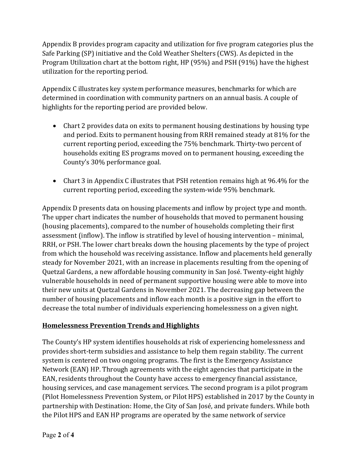Appendix B provides program capacity and utilization for five program categories plus the Safe Parking (SP) initiative and the Cold Weather Shelters (CWS). As depicted in the Program Utilization chart at the bottom right, HP (95%) and PSH (91%) have the highest utilization for the reporting period.

Appendix C illustrates key system performance measures, benchmarks for which are determined in coordination with community partners on an annual basis. A couple of highlights for the reporting period are provided below.

- Chart 2 provides data on exits to permanent housing destinations by housing type and period. Exits to permanent housing from RRH remained steady at 81% for the current reporting period, exceeding the 75% benchmark. Thirty-two percent of households exiting ES programs moved on to permanent housing, exceeding the County's 30% performance goal.
- Chart 3 in Appendix C illustrates that PSH retention remains high at 96.4% for the current reporting period, exceeding the system-wide 95% benchmark.

Appendix D presents data on housing placements and inflow by project type and month. The upper chart indicates the number of households that moved to permanent housing (housing placements), compared to the number of households completing their first assessment (inflow). The inflow is stratified by level of housing intervention – minimal, RRH, or PSH. The lower chart breaks down the housing placements by the type of project from which the household was receiving assistance. Inflow and placements held generally steady for November 2021, with an increase in placements resulting from the opening of Quetzal Gardens, a new affordable housing community in San José. Twenty-eight highly vulnerable households in need of permanent supportive housing were able to move into their new units at Quetzal Gardens in November 2021. The decreasing gap between the number of housing placements and inflow each month is a positive sign in the effort to decrease the total number of individuals experiencing homelessness on a given night.

#### **Homelessness Prevention Trends and Highlights**

The County's HP system identifies households at risk of experiencing homelessness and provides short-term subsidies and assistance to help them regain stability. The current system is centered on two ongoing programs. The first is the Emergency Assistance Network (EAN) HP. Through agreements with the eight agencies that participate in the EAN, residents throughout the County have access to emergency financial assistance, housing services, and case management services. The second program is a pilot program (Pilot Homelessness Prevention System, or Pilot HPS) established in 2017 by the County in partnership with Destination: Home, the City of San José, and private funders. While both the Pilot HPS and EAN HP programs are operated by the same network of service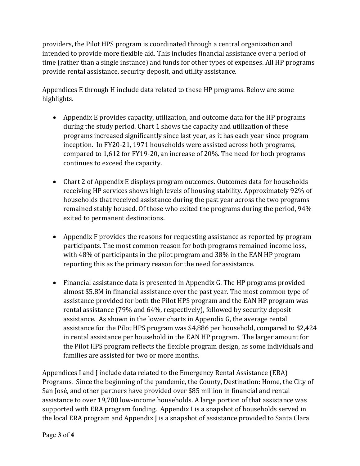providers, the Pilot HPS program is coordinated through a central organization and intended to provide more flexible aid. This includes financial assistance over a period of time (rather than a single instance) and funds for other types of expenses. All HP programs provide rental assistance, security deposit, and utility assistance.

Appendices E through H include data related to these HP programs. Below are some highlights.

- Appendix E provides capacity, utilization, and outcome data for the HP programs during the study period. Chart 1 shows the capacity and utilization of these programs increased significantly since last year, as it has each year since program inception. In FY20-21, 1971 households were assisted across both programs, compared to 1,612 for FY19-20, an increase of 20%. The need for both programs continues to exceed the capacity.
- Chart 2 of Appendix E displays program outcomes. Outcomes data for households receiving HP services shows high levels of housing stability. Approximately 92% of households that received assistance during the past year across the two programs remained stably housed. Of those who exited the programs during the period, 94% exited to permanent destinations.
- Appendix F provides the reasons for requesting assistance as reported by program participants. The most common reason for both programs remained income loss, with 48% of participants in the pilot program and 38% in the EAN HP program reporting this as the primary reason for the need for assistance.
- Financial assistance data is presented in Appendix G. The HP programs provided almost \$5.8M in financial assistance over the past year. The most common type of assistance provided for both the Pilot HPS program and the EAN HP program was rental assistance (79% and 64%, respectively), followed by security deposit assistance. As shown in the lower charts in Appendix G, the average rental assistance for the Pilot HPS program was \$4,886 per household, compared to \$2,424 in rental assistance per household in the EAN HP program. The larger amount for the Pilot HPS program reflects the flexible program design, as some individuals and families are assisted for two or more months.

Appendices I and J include data related to the Emergency Rental Assistance (ERA) Programs. Since the beginning of the pandemic, the County, Destination: Home, the City of San José, and other partners have provided over \$85 million in financial and rental assistance to over 19,700 low-income households. A large portion of that assistance was supported with ERA program funding. Appendix I is a snapshot of households served in the local ERA program and Appendix J is a snapshot of assistance provided to Santa Clara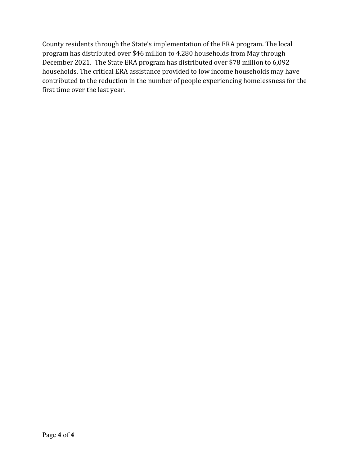County residents through the State's implementation of the ERA program. The local program has distributed over \$46 million to 4,280 households from May through December 2021. The State ERA program has distributed over \$78 million to 6,092 households. The critical ERA assistance provided to low income households may have contributed to the reduction in the number of people experiencing homelessness for the first time over the last year.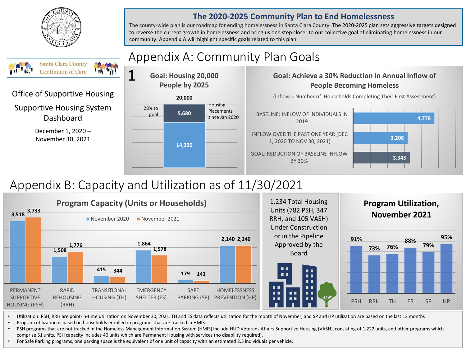

Santa Clara County **Continuum of Care** 

#### **The 2020-2025 Community Plan to End Homelessness**

The county-wide plan is our roadmap for ending homelessness in Santa Clara County. The 2020-2025 plan sets aggressive targets designed to reverse the current growth in homelessness and bring us one step closer to our collective goal of eliminating homelessness in our community. Appendix A will highlight specific goals related to this plan.

# Appendix A: Community Plan Goals

**Goal: Housing 20,000 People by 2025**

### Office of Supportive Housing Supportive Housing System

Dashboard

December 1, 2020 – November 30, 2021

| <b>PROPIC DY ZUZJ</b> |                                         |  |  |
|-----------------------|-----------------------------------------|--|--|
| 20,000                |                                         |  |  |
| 5,680                 | Housing<br>Placements<br>since Jan 2020 |  |  |
| 14,320                |                                         |  |  |
|                       |                                         |  |  |
|                       |                                         |  |  |

#### **Goal: Achieve a 30% Reduction in Annual Inflow of People Becoming Homeless**

(Inflow = Number of Households Completing Their First Assessment)

INFLOW OVER THE PAST ONE YEAR (DEC 1, 2020 TO NOV 30, 2021) BASELINE: INFLOW OF INDIVIDUALS IN 2019

GOAL: REDUCTION OF BASELINE INFLOW BY 30%



# Appendix B: Capacity and Utilization as of 11/30/2021

1



• Utilization: PSH, RRH are point-in-time utilization on November 30, 2021. TH and ES data reflects utilization for the month of November, and SP and HP utilization are based on the last 12 months

• Program utilization is based on households enrolled in programs that are tracked in HMIS.

• PSH programs that are not tracked in the Homeless Management Information System (HMIS) include HUD Veterans Affairs Supportive Housing (VASH), consisting of 1,222 units, and other programs which comprise 51 units. PSH capacity includes 40 units which are Permanent Housing with services (no disability required).

• For Safe Parking programs, one parking space is the equivalent of one unit of capacity with an estimated 2.5 individuals per vehicle.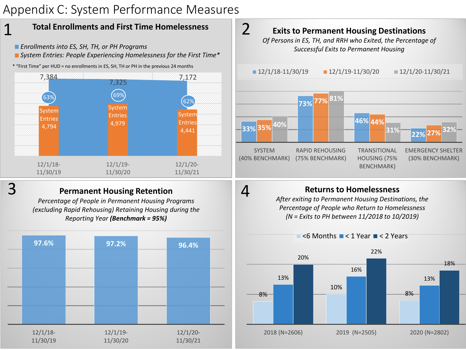# Appendix C: System Performance Measures



4

### **Permanent Housing Retention**

*Percentage of People in Permanent Housing Programs (excluding Rapid Rehousing) Retaining Housing during the Reporting Year (Benchmark = 95%)*



#### **Returns to Homelessness**

*After exiting to Permanent Housing Destinations, the Percentage of People who Return to Homelessness (N = Exits to PH between 11/2018 to 10/2019)*

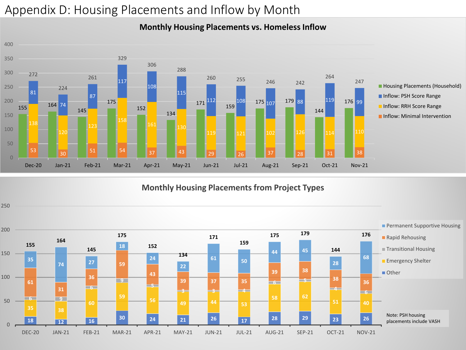# Appendix D: Housing Placements and Inflow by Month

### **Monthly Housing Placements vs. Homeless Inflow**



#### **Monthly Housing Placements from Project Types**

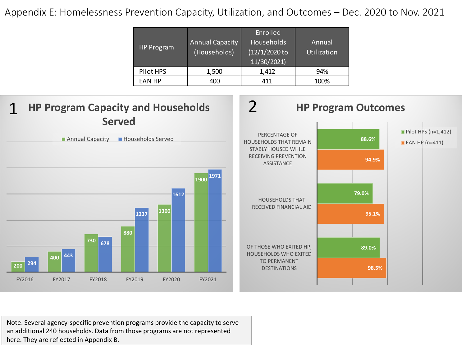### Appendix E: Homelessness Prevention Capacity, Utilization, and Outcomes – Dec. 2020 to Nov. 2021

| <b>HP Program</b> | <b>Annual Capacity</b><br>(Households) | Enrolled<br><b>Households</b><br>(12/1/2020 to<br>11/30/2021) | Annual<br>Utilization |  |
|-------------------|----------------------------------------|---------------------------------------------------------------|-----------------------|--|
| Pilot HPS         | 1,500                                  | 1,412                                                         | 94%                   |  |
| <b>EAN HP</b>     | 400                                    | 411                                                           | 100%                  |  |



Note: Several agency-specific prevention programs provide the capacity to serve an additional 240 households. Data from those programs are not represented here. They are reflected in Appendix B.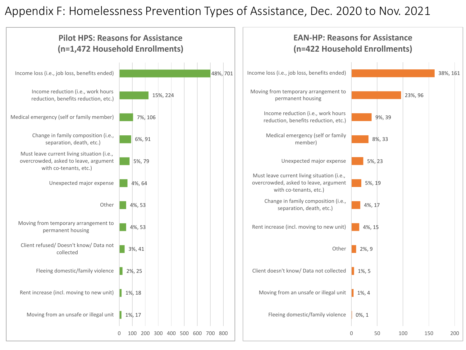## Appendix F: Homelessness Prevention Types of Assistance, Dec. 2020 to Nov. 2021

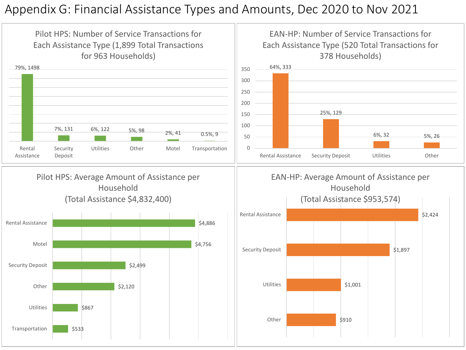## Appendix G: Financial Assistance Types and Amounts, Dec 2020 to Nov 2021

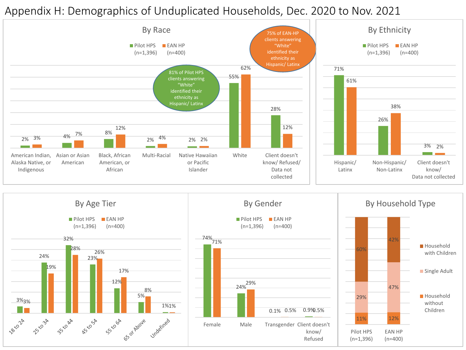### Appendix H: Demographics of Unduplicated Households, Dec. 2020 to Nov. 2021

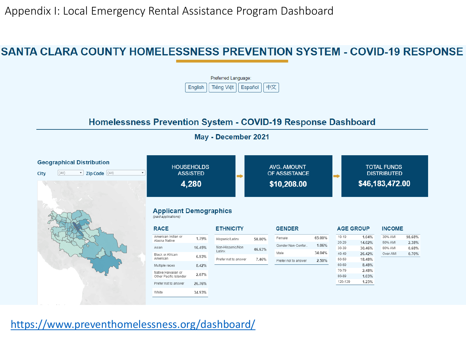## SANTA CLARA COUNTY HOMELESSNESS PREVENTION SYSTEM - COVID-19 RESPONSE



### Homelessness Prevention System - COVID-19 Response Dashboard

May - December 2021

| <b>Geographical Distribution</b><br><b>v</b> Zip Code (All)<br>(AII)<br>City<br>$\overline{\mathbf{v}}$ | <b>HOUSEHOLDS</b><br><b>ASSISTED</b><br>4,280        |        | mb-                  | <b>AVG. AMOUNT</b><br>OF ASSISTANCE<br>\$10,208.00 |                      |        | <b>TOTAL FUNDS</b><br><b>DISTRIBUTED</b><br>⇒<br>\$46,183,472.00 |                  |                    |                |
|---------------------------------------------------------------------------------------------------------|------------------------------------------------------|--------|----------------------|----------------------------------------------------|----------------------|--------|------------------------------------------------------------------|------------------|--------------------|----------------|
|                                                                                                         | <b>Applicant Demographics</b><br>(paid applications) |        |                      |                                                    |                      |        |                                                                  |                  |                    |                |
|                                                                                                         | <b>RACE</b>                                          |        | <b>ETHNICITY</b>     |                                                    | <b>GENDER</b>        |        | <b>AGE GROUP</b>                                                 |                  | <b>INCOME</b>      |                |
|                                                                                                         | American Indian or<br>Alaska Native                  | 1.79%  | Hispanic/Latinx      | 50.00%                                             | Female               | 65.00% | $10 - 19$                                                        | 1.04%            | 30% AMI            | 98.68%         |
|                                                                                                         | Asian                                                | 16.45% | Non-Hispanic/Non     | 46.63%                                             | Gender Non-Confor    | 1.06%  | 20-29<br>30-39                                                   | 14.02%<br>30.46% | 50% AMI<br>80% AMI | 2.38%<br>0.68% |
|                                                                                                         | <b>Black or African</b><br>American                  | 6.93%  | Latinx               |                                                    | Male                 | 34.04% | $40 - 49$                                                        | 26.42%           | Over AMI           | 0.70%          |
|                                                                                                         | Multiple races                                       | 8.42%  | Prefer not to answer | 7.46%                                              | Prefer not to answer | 2.50%  | 50-59<br>60-69                                                   | 18.48%<br>8.48%  |                    |                |
|                                                                                                         | Native Hawaiian or                                   |        |                      |                                                    |                      |        | 70-79                                                            | 2.48%            |                    |                |
|                                                                                                         | Other Pacific Islander                               | 2.07%  |                      |                                                    |                      |        | 80-89                                                            | 1.03%            |                    |                |
|                                                                                                         | Prefer not to answer                                 | 26.76% |                      |                                                    |                      |        | 120-129                                                          | 1.23%            |                    |                |
|                                                                                                         | White                                                | 34.93% |                      |                                                    |                      |        |                                                                  |                  |                    |                |
| $\cdots$<br>and the control of the                                                                      |                                                      |        |                      |                                                    |                      |        |                                                                  |                  |                    |                |

<https://www.preventhomelessness.org/dashboard/>